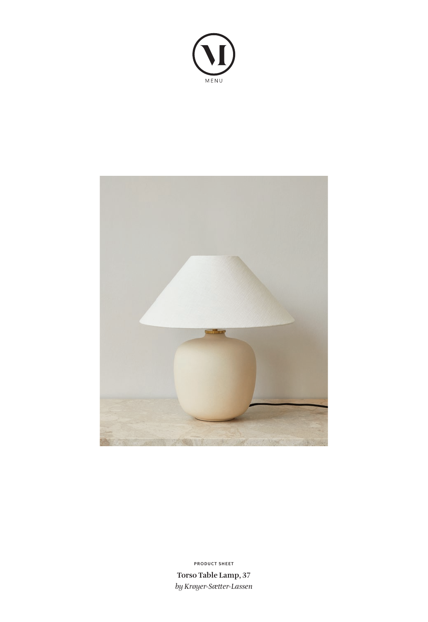



**Torso Table Lamp, 37** *by Krøyer-Sætter-Lassen* **PRODUCT SHEET**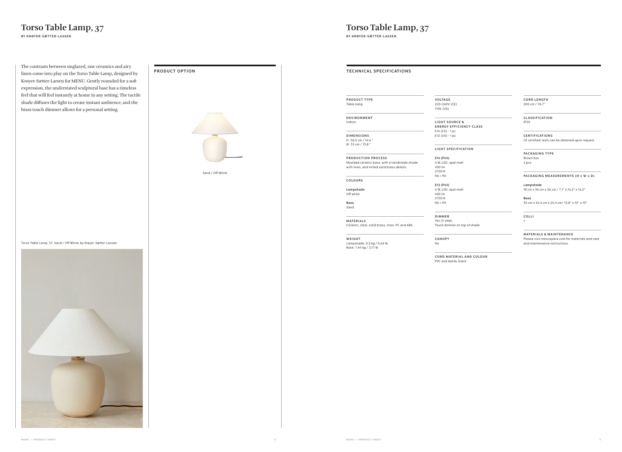| <b>OPTION</b>    | <b>TECHNICAL SPECIFICATIONS</b>                                                                                  |
|------------------|------------------------------------------------------------------------------------------------------------------|
|                  |                                                                                                                  |
|                  | PRODUCT TYPE<br>Table lamp                                                                                       |
|                  | ENVIRONMENT<br>Indoor                                                                                            |
|                  | <b>DIMENSIONS</b><br>H: 36,5 cm / 14,4"<br>0:35 cm / 13,8"                                                       |
| Sand / Off White | PRODUCTION PROCESS<br>Moulded ceramic base, with a handmade shade<br>with linen, and milled solid brass details. |
|                  | COLOURS                                                                                                          |
|                  | Lampshade<br>Off white                                                                                           |
|                  | Base<br>Sand                                                                                                     |
|                  | MATERIALS<br>Ceramic, steel, solid brass, linen, PC and ABS.                                                     |
|                  | WEIGHT<br>Lampshade: 0,2 kg / 0,44 lb<br>Base: 1,44 kg / 3,17 lb                                                 |
|                  |                                                                                                                  |
|                  |                                                                                                                  |
|                  |                                                                                                                  |
|                  |                                                                                                                  |
|                  |                                                                                                                  |
|                  |                                                                                                                  |
|                  |                                                                                                                  |
|                  |                                                                                                                  |
|                  |                                                                                                                  |

#### **LIGHT SOURCE & ENERGY EFFICIENCY CLASS**

**CORD MATERIAL AND COLOUR** PVC and textile, black

**VO LTAG E** 220-240V (CE) 110V (US)

E14 (CE) - 1 pc E12 (US) - 1 pc

#### **LIGHT SPECIFICATION**

**E14 (P45)**

**MATERIALS & MAINTENANCE** Please visit menuspace.com for materials and care and maintenance instructions.

400 lm 2700 K RA > 90

**E12 (P45)**

4 W, LED, opal matt

400 lm 2700 K RA > 90

**DIMMER** Yes (3 step) Touch dimmer on top of shade

**CANOPY**

No

4 W, LED, opal mat

**CORD LENGTH** 200 cm / 78,7"

#### **C L AS S I F I CAT I O N** IP20

| PRODUCT OPTION |                  |
|----------------|------------------|
|                | Sand / Off White |
|                |                  |

**C E RT I F I CAT I O N S** CE certified, tests can be obtained upon request.

#### **PACKAGING TYPE** Brown box 2 pcs

### **PACKAGING MEASUREMENTS (H x W x D)**

**Lampshade**

18 cm x 36 cm x 36 cm / 7,1" x 14,2" x 14,2"

**Base** 35 cm x 25,4 cm x 25,4 cm/ 13,8" x 10" x 10"

**COLLI**

1

# **Torso Table Lamp, 37**

**BY KRØYER-SÆTTER-LASSEN**

The contrasts between unglazed, raw ceramics and airy linen come into play on the Torso Table Lamp, designed by Krøyer-Sætter-Larsen for MENU. Gently rounded for a soft expression, the understated sculptural base has a timeless feel that will feel instantly at home in any setting. The tactile shade diffuses the light to create instant ambience, and the brass touch dimmer allows for a personal setting.





**Torso Table Lamp, 37**

**BY KRØYER-SÆTTER-LASSEN**